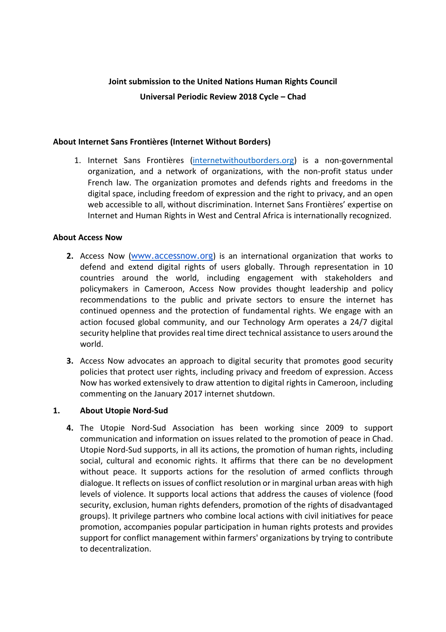# **Joint submission to the United Nations Human Rights Council Universal Periodic Review 2018 Cycle – Chad**

#### **About Internet Sans Frontières (Internet Without Borders)**

1. Internet Sans Frontières (internetwithoutborders.org) is a non-governmental organization, and a network of organizations, with the non-profit status under French law. The organization promotes and defends rights and freedoms in the digital space, including freedom of expression and the right to privacy, and an open web accessible to all, without discrimination. Internet Sans Frontières' expertise on Internet and Human Rights in West and Central Africa is internationally recognized.

#### **About Access Now**

- **2.** Access Now ([www.accessnow.org](http://www.accessnow.org/)) is an international organization that works to defend and extend digital rights of users globally. Through representation in 10 countries around the world, including engagement with stakeholders and policymakers in Cameroon, Access Now provides thought leadership and policy recommendations to the public and private sectors to ensure the internet has continued openness and the protection of fundamental rights. We engage with an action focused global community, and our Technology Arm operates a 24/7 digital security helpline that provides real time direct technical assistance to users around the world.
- **3.** Access Now advocates an approach to digital security that promotes good security policies that protect user rights, including privacy and freedom of expression. Access Now has worked extensively to draw attention to digital rights in Cameroon, including commenting on the January 2017 internet shutdown.

## **1. About Utopie Nord-Sud**

**4.** The Utopie Nord-Sud Association has been working since 2009 to support communication and information on issues related to the promotion of peace in Chad. Utopie Nord-Sud supports, in all its actions, the promotion of human rights, including social, cultural and economic rights. It affirms that there can be no development without peace. It supports actions for the resolution of armed conflicts through dialogue. It reflects on issues of conflict resolution or in marginal urban areas with high levels of violence. It supports local actions that address the causes of violence (food security, exclusion, human rights defenders, promotion of the rights of disadvantaged groups). It privilege partners who combine local actions with civil initiatives for peace promotion, accompanies popular participation in human rights protests and provides support for conflict management within farmers' organizations by trying to contribute to decentralization.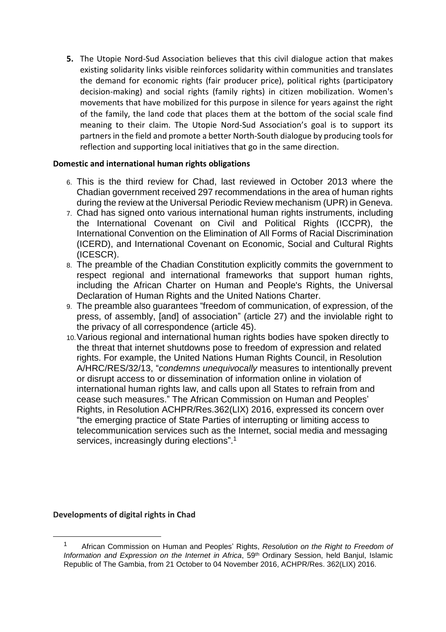**5.** The Utopie Nord-Sud Association believes that this civil dialogue action that makes existing solidarity links visible reinforces solidarity within communities and translates the demand for economic rights (fair producer price), political rights (participatory decision-making) and social rights (family rights) in citizen mobilization. Women's movements that have mobilized for this purpose in silence for years against the right of the family, the land code that places them at the bottom of the social scale find meaning to their claim. The Utopie Nord-Sud Association's goal is to support its partners in the field and promote a better North-South dialogue by producing tools for reflection and supporting local initiatives that go in the same direction.

#### **Domestic and international human rights obligations**

- 6. This is the third review for Chad, last reviewed in October 2013 where the Chadian government received 297 recommendations in the area of human rights during the review at the Universal Periodic Review mechanism (UPR) in Geneva.
- 7. Chad has signed onto various international human rights instruments, including the International Covenant on Civil and Political Rights (ICCPR), the International Convention on the Elimination of All Forms of Racial Discrimination (ICERD), and International Covenant on Economic, Social and Cultural Rights (ICESCR).
- 8. The preamble of the Chadian Constitution explicitly commits the government to respect regional and international frameworks that support human rights, including the African Charter on Human and People's Rights, the Universal Declaration of Human Rights and the United Nations Charter.
- 9. The preamble also guarantees "freedom of communication, of expression, of the press, of assembly, [and] of association" (article 27) and the inviolable right to the privacy of all correspondence (article 45).
- 10.Various regional and international human rights bodies have spoken directly to the threat that internet shutdowns pose to freedom of expression and related rights. For example, the United Nations Human Rights Council, in Resolution A/HRC/RES/32/13, "*condemns unequivocally* measures to intentionally prevent or disrupt access to or dissemination of information online in violation of international human rights law, and calls upon all States to refrain from and cease such measures." The African Commission on Human and Peoples' Rights, in Resolution ACHPR/Res.362(LIX) 2016, expressed its concern over "the emerging practice of State Parties of interrupting or limiting access to telecommunication services such as the Internet, social media and messaging services, increasingly during elections".<sup>1</sup>

## **Developments of digital rights in Chad**

 $\overline{a}$ 

<sup>1</sup> African Commission on Human and Peoples' Rights, *Resolution on the Right to Freedom of Information and Expression on the Internet in Africa*, 59th Ordinary Session, held Banjul, Islamic Republic of The Gambia, from 21 October to 04 November 2016, ACHPR/Res. 362(LIX) 2016.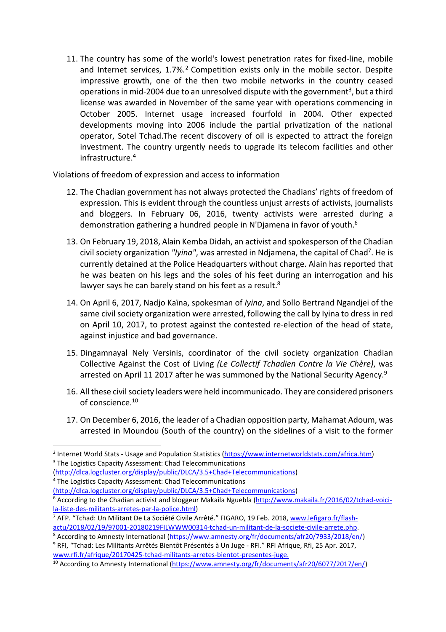11. The country has some of the world's lowest penetration rates for fixed-line, mobile and Internet services, 1.7%. <sup>2</sup> Competition exists only in the mobile sector. Despite impressive growth, one of the then two mobile networks in the country ceased operations in mid-2004 due to an unresolved dispute with the government<sup>3</sup>, but a third license was awarded in November of the same year with operations commencing in October 2005. Internet usage increased fourfold in 2004. Other expected developments moving into 2006 include the partial privatization of the national operator, Sotel Tchad.The recent discovery of oil is expected to attract the foreign investment. The country urgently needs to upgrade its telecom facilities and other infrastructure.<sup>4</sup>

Violations of freedom of expression and access to information

- 12. The Chadian government has not always protected the Chadians' rights of freedom of expression. This is evident through the countless unjust arrests of activists, journalists and bloggers. In February 06, 2016, twenty activists were arrested during a demonstration gathering a hundred people in N'Djamena in favor of youth.<sup>6</sup>
- 13. On February 19, 2018, Alain Kemba Didah, an activist and spokesperson of the Chadian civil society organization *"Iyina"*, was arrested in Ndjamena, the capital of Chad<sup>7</sup> . He is currently detained at the Police Headquarters without charge. Alain has reported that he was beaten on his legs and the soles of his feet during an interrogation and his lawyer says he can barely stand on his feet as a result. $8$
- 14. On April 6, 2017, Nadjo Kaïna, spokesman of *Iyina*, and Sollo Bertrand Ngandjei of the same civil society organization were arrested, following the call by Iyina to dress in red on April 10, 2017, to protest against the contested re-election of the head of state, against injustice and bad governance.
- 15. Dingamnayal Nely Versinis, coordinator of the civil society organization Chadian Collective Against the Cost of Living *(Le Collectif Tchadien Contre la Vie Chère)*, was arrested on April 11 2017 after he was summoned by the National Security Agency.<sup>9</sup>
- 16. All these civil society leaders were held incommunicado. They are considered prisoners of conscience.<sup>10</sup>
- 17. On December 6, 2016, the leader of a Chadian opposition party, Mahamat Adoum, was arrested in Moundou (South of the country) on the sidelines of a visit to the former

 $\overline{a}$ 

<sup>&</sup>lt;sup>2</sup> Internet World Stats - Usage and Population Statistics [\(https://www.internetworldstats.com/africa.htm\)](https://www.internetworldstats.com/africa.htm) <sup>3</sup> The Logistics Capacity Assessment: Chad Telecommunications

[<sup>\(</sup>http://dlca.logcluster.org/display/public/DLCA/3.5+Chad+Telecommunications\)](http://dlca.logcluster.org/display/public/DLCA/3.5+Chad+Telecommunications)

<sup>4</sup> The Logistics Capacity Assessment: Chad Telecommunications

<sup>(</sup>http://dlca.logcluster.org/display/public/DLCA/3.5+Chad+Telecommunications)

<sup>&</sup>lt;sup>6</sup> According to the Chadian activist and bloggeur Makaila Nguebla [\(http://www.makaila.fr/2016/02/tchad-voici](http://www.makaila.fr/2016/02/tchad-voici-la-liste-des-militants-arretes-par-la-police.html)[la-liste-des-militants-arretes-par-la-police.html\)](http://www.makaila.fr/2016/02/tchad-voici-la-liste-des-militants-arretes-par-la-police.html)

<sup>7</sup> AFP. "Tchad: Un Militant De La Société Civile Arrêté." FIGARO, 19 Feb. 2018, www.lefigaro.fr/flashactu/2018/02/19/97001-20180219FILWWW00314-tchad-un-militant-de-la-societe-civile-arrete.php.

<sup>&</sup>lt;sup>8</sup> According to Amnesty International [\(https://www.amnesty.org/fr/documents/afr20/7933/2018/en/\)](https://www.amnesty.org/fr/documents/afr20/7933/2018/en/) <sup>9</sup> RFI, "Tchad: Les Militants Arrêtés Bientôt Présentés à Un Juge - RFI." RFI Afrique, Rfi, 25 Apr. 2017, www.rfi.fr/afrique/20170425-tchad-militants-arretes-bientot-presentes-juge.

<sup>&</sup>lt;sup>10</sup> According to Amnesty International [\(https://www.amnesty.org/fr/documents/afr20/6077/2017/en/\)](https://www.amnesty.org/fr/documents/afr20/6077/2017/en/)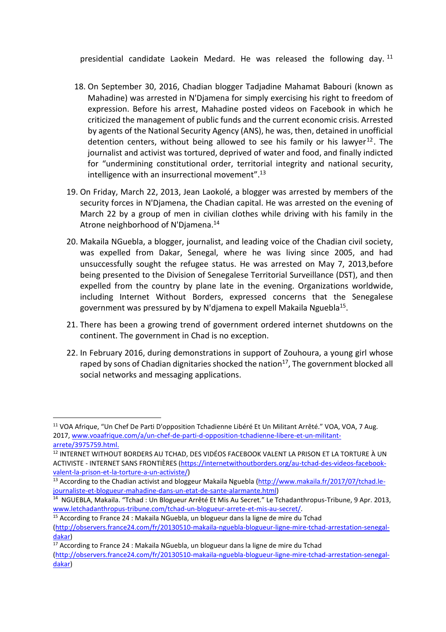presidential candidate Laokein Medard. He was released the following day. <sup>11</sup>

- 18. On September 30, 2016, Chadian blogger Tadjadine Mahamat Babouri (known as Mahadine) was arrested in N'Djamena for simply exercising his right to freedom of expression. Before his arrest, Mahadine posted videos on Facebook in which he criticized the management of public funds and the current economic crisis. Arrested by agents of the National Security Agency (ANS), he was, then, detained in unofficial detention centers, without being allowed to see his family or his lawyer<sup>12</sup>. The journalist and activist was tortured, deprived of water and food, and finally indicted for "undermining constitutional order, territorial integrity and national security, intelligence with an insurrectional movement".<sup>13</sup>
- 19. On Friday, March 22, 2013, Jean Laokolé, a blogger was arrested by members of the security forces in N'Djamena, the Chadian capital. He was arrested on the evening of March 22 by a group of men in civilian clothes while driving with his family in the Atrone neighborhood of N'Djamena.<sup>14</sup>
- 20. Makaila NGuebla, a blogger, journalist, and leading voice of the Chadian civil society, was expelled from Dakar, Senegal, where he was living since 2005, and had unsuccessfully sought the refugee status. He was arrested on May 7, 2013,before being presented to the Division of Senegalese Territorial Surveillance (DST), and then expelled from the country by plane late in the evening. Organizations worldwide, including Internet Without Borders, expressed concerns that the Senegalese government was pressured by by N'djamena to expell Makaila Nguebla<sup>15</sup>.
- 21. There has been a growing trend of government ordered internet shutdowns on the continent. The government in Chad is no exception.
- 22. In February 2016, during demonstrations in support of Zouhoura, a young girl whose raped by sons of Chadian dignitaries shocked the nation<sup>17</sup>, The government blocked all social networks and messaging applications.

 $\overline{a}$ 

<sup>&</sup>lt;sup>11</sup> VOA Afrique, "Un Chef De Parti D'opposition Tchadienne Libéré Et Un Militant Arrêté." VOA, VOA, 7 Aug. 2017, www.voaafrique.com/a/un-chef-de-parti-d-opposition-tchadienne-libere-et-un-militantarrete/3975759.html.

<sup>&</sup>lt;sup>12</sup> INTERNET WITHOUT BORDERS AU TCHAD, DES VIDÉOS FACEBOOK VALENT LA PRISON ET LA TORTURE À UN ACTIVISTE - INTERNET SANS FRONTIÈRES [\(https://internetwithoutborders.org/au-tchad-des-videos-facebook](https://internetwithoutborders.org/au-tchad-des-videos-facebook-valent-la-prison-et-la-torture-a-un-activiste/)[valent-la-prison-et-la-torture-a-un-activiste/\)](https://internetwithoutborders.org/au-tchad-des-videos-facebook-valent-la-prison-et-la-torture-a-un-activiste/)

<sup>&</sup>lt;sup>13</sup> According to the Chadian activist and bloggeur Makaila Nguebla [\(http://www.makaila.fr/2017/07/tchad.le](http://www.makaila.fr/2017/07/tchad.le-journaliste-et-blogueur-mahadine-dans-un-etat-de-sante-alarmante.html)[journaliste-et-blogueur-mahadine-dans-un-etat-de-sante-alarmante.html\)](http://www.makaila.fr/2017/07/tchad.le-journaliste-et-blogueur-mahadine-dans-un-etat-de-sante-alarmante.html)

<sup>&</sup>lt;sup>14</sup> NGUEBLA, Makaila. "Tchad : Un Blogueur Arrêté Et Mis Au Secret." Le Tchadanthropus-Tribune, 9 Apr. 2013, www.letchadanthropus-tribune.com/tchad-un-blogueur-arrete-et-mis-au-secret/.

<sup>&</sup>lt;sup>15</sup> According to France 24 : Makaila NGuebla, un blogueur dans la ligne de mire du Tchad

[<sup>\(</sup>http://observers.france24.com/fr/20130510-makaila-nguebla-blogueur-ligne-mire-tchad-arrestation-senegal](http://observers.france24.com/fr/20130510-makaila-nguebla-blogueur-ligne-mire-tchad-arrestation-senegal-dakar)[dakar\)](http://observers.france24.com/fr/20130510-makaila-nguebla-blogueur-ligne-mire-tchad-arrestation-senegal-dakar)

<sup>&</sup>lt;sup>17</sup> According to France 24 : Makaila NGuebla, un blogueur dans la ligne de mire du Tchad [\(http://observers.france24.com/fr/20130510-makaila-nguebla-blogueur-ligne-mire-tchad-arrestation-senegal](http://observers.france24.com/fr/20130510-makaila-nguebla-blogueur-ligne-mire-tchad-arrestation-senegal-dakar)[dakar\)](http://observers.france24.com/fr/20130510-makaila-nguebla-blogueur-ligne-mire-tchad-arrestation-senegal-dakar)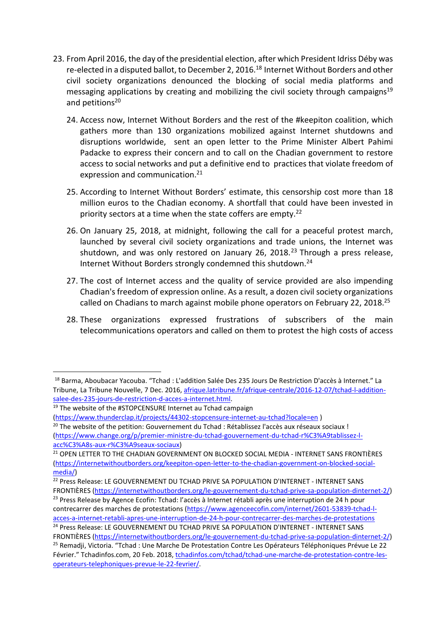- 23. From April 2016, the day of the presidential election, after which President Idriss Déby was re-elected in a disputed ballot, to December 2, 2016.<sup>18</sup> Internet Without Borders and other civil society organizations denounced the blocking of social media platforms and messaging applications by creating and mobilizing the civil society through campaigns<sup>19</sup> and petitions<sup>20</sup>
	- 24. Access now, Internet Without Borders and the rest of the #keepiton coalition, which gathers more than 130 organizations mobilized against Internet shutdowns and disruptions worldwide, sent an open letter to the Prime Minister Albert Pahimi Padacke to express their concern and to call on the Chadian government to restore access to social networks and put a definitive end to practices that violate freedom of expression and communication.<sup>21</sup>
	- 25. According to Internet Without Borders' estimate, this censorship cost more than 18 million euros to the Chadian economy. A shortfall that could have been invested in priority sectors at a time when the state coffers are empty.<sup>22</sup>
	- 26. On January 25, 2018, at midnight, following the call for a peaceful protest march, launched by several civil society organizations and trade unions, the Internet was shutdown, and was only restored on January 26, 2018.<sup>23</sup> Through a press release, Internet Without Borders strongly condemned this shutdown.<sup>24</sup>
	- 27. The cost of Internet access and the quality of service provided are also impending Chadian's freedom of expression online. As a result, a dozen civil society organizations called on Chadians to march against mobile phone operators on February 22, 2018.<sup>25</sup>
	- 28. These organizations expressed frustrations of subscribers of the main telecommunications operators and called on them to protest the high costs of access

 $\overline{a}$ <sup>18</sup> Barma, Aboubacar Yacouba. "Tchad : L'addition Salée Des 235 Jours De Restriction D'accès à Internet." La Tribune, La Tribune Nouvelle, 7 Dec. 2016, [afrique.latribune.fr/afrique-centrale/2016-12-07/tchad-l-addition](https://afrique.latribune.fr/afrique-centrale/2016-12-07/tchad-l-addition-salee-des-235-jours-de-restriction-d-acces-a-internet.html)[salee-des-235-jours-de-restriction-d-acces-a-internet.html.](https://afrique.latribune.fr/afrique-centrale/2016-12-07/tchad-l-addition-salee-des-235-jours-de-restriction-d-acces-a-internet.html)

<sup>&</sup>lt;sup>19</sup> The website of the #STOPCENSURE Internet au Tchad campaign

[<sup>\(</sup>https://www.thunderclap.it/projects/44302-stopcensure-internet-au-tchad?locale=en](https://www.thunderclap.it/projects/44302-stopcensure-internet-au-tchad?locale=en%2520) )

<sup>&</sup>lt;sup>20</sup> The website of the petition: Gouvernement du Tchad : Rétablissez l'accès aux réseaux sociaux ! [\(https://www.change.org/p/premier-ministre-du-tchad-gouvernement-du-tchad-r%C3%A9tablissez-l](https://www.change.org/p/premier-ministre-du-tchad-gouvernement-du-tchad-r%25C3%25A9tablissez-l-acc%25C3%25A8s-aux-r%25C3%25A9seaux-sociaux)[acc%C3%A8s-aux-r%C3%A9seaux-sociaux\)](https://www.change.org/p/premier-ministre-du-tchad-gouvernement-du-tchad-r%25C3%25A9tablissez-l-acc%25C3%25A8s-aux-r%25C3%25A9seaux-sociaux)

<sup>&</sup>lt;sup>21</sup> OPEN LETTER TO THE CHADIAN GOVERNMENT ON BLOCKED SOCIAL MEDIA - INTERNET SANS FRONTIÈRES [\(https://internetwithoutborders.org/keepiton-open-letter-to-the-chadian-government-on-blocked-social](https://internetwithoutborders.org/keepiton-open-letter-to-the-chadian-government-on-blocked-social-media/)[media/\)](https://internetwithoutborders.org/keepiton-open-letter-to-the-chadian-government-on-blocked-social-media/)

<sup>22</sup> Press Release: LE GOUVERNEMENT DU TCHAD PRIVE SA POPULATION D'INTERNET - INTERNET SANS FRONTIÈRES [\(https://internetwithoutborders.org/le-gouvernement-du-tchad-prive-sa-population-dinternet-2/\)](https://internetwithoutborders.org/le-gouvernement-du-tchad-prive-sa-population-dinternet-2/)

<sup>&</sup>lt;sup>23</sup> Press Release by Agence Ecofin: Tchad: l'accès à Internet rétabli après une interruption de 24 h pour contrecarrer des marches de protestations [\(https://www.agenceecofin.com/internet/2601-53839-tchad-l](https://www.agenceecofin.com/internet/2601-53839-tchad-l-acces-a-internet-retabli-apres-une-interruption-de-24-h-pour-contrecarrer-des-marches-de-protestations)[acces-a-internet-retabli-apres-une-interruption-de-24-h-pour-contrecarrer-des-marches-de-protestations](https://www.agenceecofin.com/internet/2601-53839-tchad-l-acces-a-internet-retabli-apres-une-interruption-de-24-h-pour-contrecarrer-des-marches-de-protestations)

<sup>24</sup> Press Release: LE GOUVERNEMENT DU TCHAD PRIVE SA POPULATION D'INTERNET - INTERNET SANS

FRONTIÈRES [\(https://internetwithoutborders.org/le-gouvernement-du-tchad-prive-sa-population-dinternet-2/\)](https://internetwithoutborders.org/le-gouvernement-du-tchad-prive-sa-population-dinternet-2/) <sup>25</sup> Remadji, Victoria. "Tchad : Une Marche De Protestation Contre Les Opérateurs Téléphoniques Prévue Le 22 Février." Tchadinfos.com, 20 Feb. 2018, tchadinfos.com/tchad/tchad-une-marche-de-protestation-contre-lesoperateurs-telephoniques-prevue-le-22-fevrier/.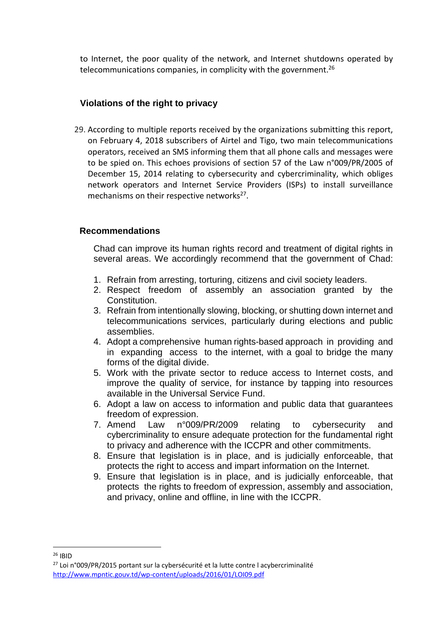to Internet, the poor quality of the network, and Internet shutdowns operated by telecommunications companies, in complicity with the government. $26$ 

# **Violations of the right to privacy**

29. According to multiple reports received by the organizations submitting this report, on February 4, 2018 subscribers of Airtel and Tigo, two main telecommunications operators, received an SMS informing them that all phone calls and messages were to be spied on. This echoes provisions of section 57 of the Law n°009/PR/2005 of December 15, 2014 relating to cybersecurity and cybercriminality, which obliges network operators and Internet Service Providers (ISPs) to install surveillance mechanisms on their respective networks<sup>27</sup>.

# **Recommendations**

Chad can improve its human rights record and treatment of digital rights in several areas. We accordingly recommend that the government of Chad:

- 1. Refrain from arresting, torturing, citizens and civil society leaders.
- 2. Respect freedom of assembly an association granted by the Constitution.
- 3. Refrain from intentionally slowing, blocking, or shutting down internet and telecommunications services, particularly during elections and public assemblies.
- 4. Adopt a comprehensive human rights-based approach in providing and in expanding access to the internet, with a goal to bridge the many forms of the digital divide.
- 5. Work with the private sector to reduce access to Internet costs, and improve the quality of service, for instance by tapping into resources available in the Universal Service Fund.
- 6. Adopt a law on access to information and public data that guarantees freedom of expression.
- 7. Amend Law n°009/PR/2009 relating to cybersecurity and cybercriminality to ensure adequate protection for the fundamental right to privacy and adherence with the ICCPR and other commitments.
- 8. Ensure that legislation is in place, and is judicially enforceable, that protects the right to access and impart information on the Internet.
- 9. Ensure that legislation is in place, and is judicially enforceable, that protects the rights to freedom of expression, assembly and association, and privacy, online and offline, in line with the ICCPR.

 $\overline{a}$ <sup>26</sup> IBID

<sup>&</sup>lt;sup>27</sup> Loi n°009/PR/2015 portant sur la cybersécurité et la lutte contre l acybercriminalité <http://www.mpntic.gouv.td/wp-content/uploads/2016/01/LOI09.pdf>